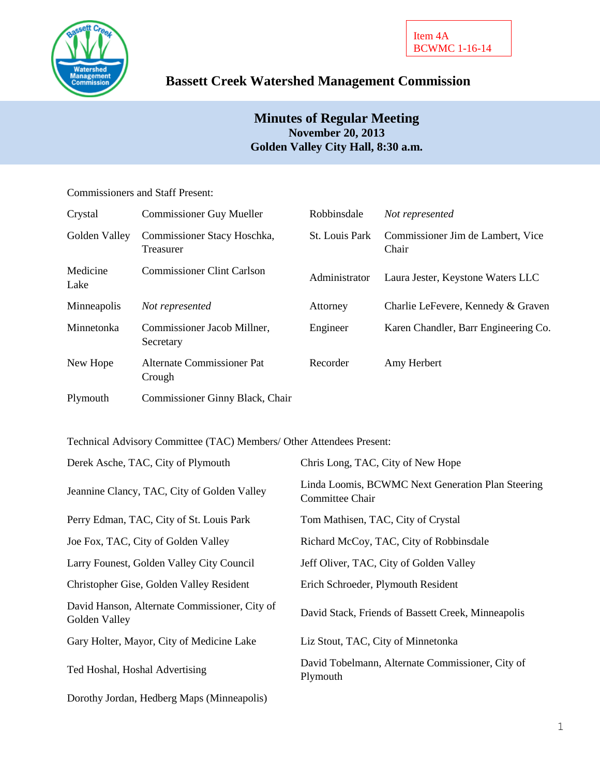

# **Bassett Creek Watershed Management Commission**

# **Minutes of Regular Meeting November 20, 2013 Golden Valley City Hall, 8:30 a.m.**

## Commissioners and Staff Present:

| Crystal          | <b>Commissioner Guy Mueller</b>          | Robbinsdale    | Not represented                            |
|------------------|------------------------------------------|----------------|--------------------------------------------|
| Golden Valley    | Commissioner Stacy Hoschka,<br>Treasurer | St. Louis Park | Commissioner Jim de Lambert, Vice<br>Chair |
| Medicine<br>Lake | <b>Commissioner Clint Carlson</b>        | Administrator  | Laura Jester, Keystone Waters LLC          |
| Minneapolis      | Not represented                          | Attorney       | Charlie LeFevere, Kennedy & Graven         |
| Minnetonka       | Commissioner Jacob Millner,<br>Secretary | Engineer       | Karen Chandler, Barr Engineering Co.       |
| New Hope         | Alternate Commissioner Pat<br>Crough     | Recorder       | Amy Herbert                                |
| Plymouth         | Commissioner Ginny Black, Chair          |                |                                            |

Technical Advisory Committee (TAC) Members/ Other Attendees Present:

| Derek Asche, TAC, City of Plymouth                             | Chris Long, TAC, City of New Hope                                    |
|----------------------------------------------------------------|----------------------------------------------------------------------|
| Jeannine Clancy, TAC, City of Golden Valley                    | Linda Loomis, BCWMC Next Generation Plan Steering<br>Committee Chair |
| Perry Edman, TAC, City of St. Louis Park                       | Tom Mathisen, TAC, City of Crystal                                   |
| Joe Fox, TAC, City of Golden Valley                            | Richard McCoy, TAC, City of Robbinsdale                              |
| Larry Founest, Golden Valley City Council                      | Jeff Oliver, TAC, City of Golden Valley                              |
| Christopher Gise, Golden Valley Resident                       | Erich Schroeder, Plymouth Resident                                   |
| David Hanson, Alternate Commissioner, City of<br>Golden Valley | David Stack, Friends of Bassett Creek, Minneapolis                   |
| Gary Holter, Mayor, City of Medicine Lake                      | Liz Stout, TAC, City of Minnetonka                                   |
| Ted Hoshal, Hoshal Advertising                                 | David Tobelmann, Alternate Commissioner, City of<br>Plymouth         |
| Dorothy Jordan, Hedberg Maps (Minneapolis)                     |                                                                      |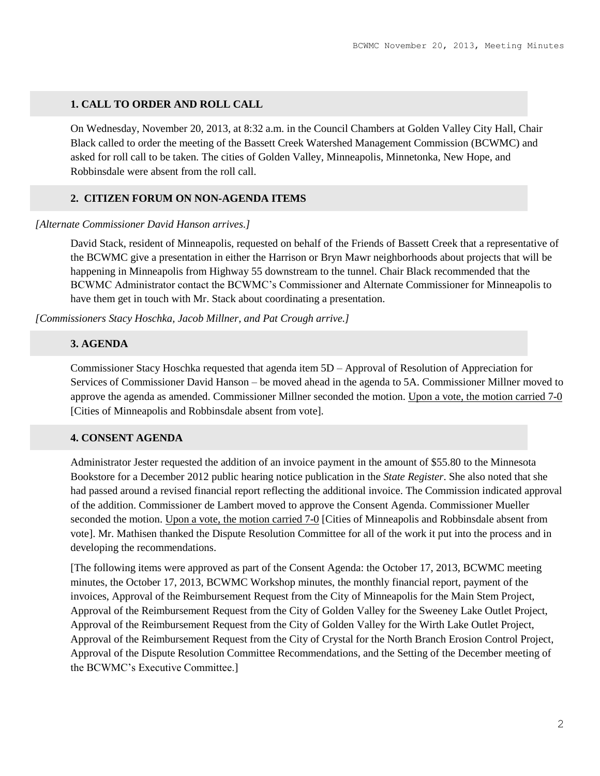## **1. CALL TO ORDER AND ROLL CALL**

On Wednesday, November 20, 2013, at 8:32 a.m. in the Council Chambers at Golden Valley City Hall, Chair Black called to order the meeting of the Bassett Creek Watershed Management Commission (BCWMC) and asked for roll call to be taken. The cities of Golden Valley, Minneapolis, Minnetonka, New Hope, and Robbinsdale were absent from the roll call.

# **2. CITIZEN FORUM ON NON-AGENDA ITEMS**

#### *[Alternate Commissioner David Hanson arrives.]*

David Stack, resident of Minneapolis, requested on behalf of the Friends of Bassett Creek that a representative of the BCWMC give a presentation in either the Harrison or Bryn Mawr neighborhoods about projects that will be happening in Minneapolis from Highway 55 downstream to the tunnel. Chair Black recommended that the BCWMC Administrator contact the BCWMC's Commissioner and Alternate Commissioner for Minneapolis to have them get in touch with Mr. Stack about coordinating a presentation.

*[Commissioners Stacy Hoschka, Jacob Millner, and Pat Crough arrive.]*

# **3. AGENDA**

Commissioner Stacy Hoschka requested that agenda item 5D – Approval of Resolution of Appreciation for Services of Commissioner David Hanson – be moved ahead in the agenda to 5A. Commissioner Millner moved to approve the agenda as amended. Commissioner Millner seconded the motion. Upon a vote, the motion carried 7-0 [Cities of Minneapolis and Robbinsdale absent from vote].

### **4. CONSENT AGENDA**

Administrator Jester requested the addition of an invoice payment in the amount of \$55.80 to the Minnesota Bookstore for a December 2012 public hearing notice publication in the *State Register*. She also noted that she had passed around a revised financial report reflecting the additional invoice. The Commission indicated approval of the addition. Commissioner de Lambert moved to approve the Consent Agenda. Commissioner Mueller seconded the motion. Upon a vote, the motion carried 7-0 [Cities of Minneapolis and Robbinsdale absent from vote]. Mr. Mathisen thanked the Dispute Resolution Committee for all of the work it put into the process and in developing the recommendations.

[The following items were approved as part of the Consent Agenda: the October 17, 2013, BCWMC meeting minutes, the October 17, 2013, BCWMC Workshop minutes, the monthly financial report, payment of the invoices, Approval of the Reimbursement Request from the City of Minneapolis for the Main Stem Project, Approval of the Reimbursement Request from the City of Golden Valley for the Sweeney Lake Outlet Project, Approval of the Reimbursement Request from the City of Golden Valley for the Wirth Lake Outlet Project, Approval of the Reimbursement Request from the City of Crystal for the North Branch Erosion Control Project, Approval of the Dispute Resolution Committee Recommendations, and the Setting of the December meeting of the BCWMC's Executive Committee.]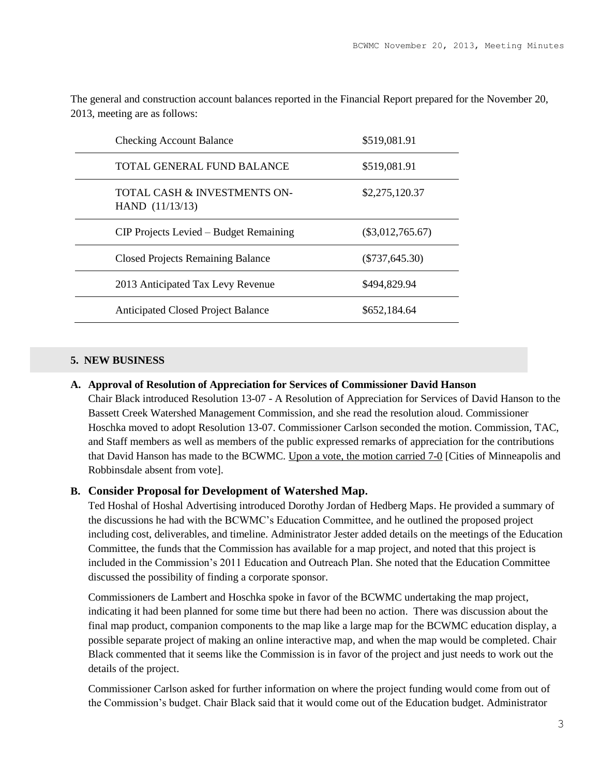| <b>Checking Account Balance</b>                   | \$519,081.91       |
|---------------------------------------------------|--------------------|
| TOTAL GENERAL FUND BALANCE                        | \$519,081.91       |
| TOTAL CASH & INVESTMENTS ON-<br>HAND $(11/13/13)$ | \$2,275,120.37     |
| CIP Projects Levied – Budget Remaining            | $(\$3,012,765.67)$ |
| <b>Closed Projects Remaining Balance</b>          | $(\$737,645.30)$   |
| 2013 Anticipated Tax Levy Revenue                 | \$494,829.94       |
| <b>Anticipated Closed Project Balance</b>         | \$652,184.64       |

The general and construction account balances reported in the Financial Report prepared for the November 20, 2013, meeting are as follows:

# **5. NEW BUSINESS**

#### **A. Approval of Resolution of Appreciation for Services of Commissioner David Hanson**

Chair Black introduced Resolution 13-07 - A Resolution of Appreciation for Services of David Hanson to the Bassett Creek Watershed Management Commission, and she read the resolution aloud. Commissioner Hoschka moved to adopt Resolution 13-07. Commissioner Carlson seconded the motion. Commission, TAC, and Staff members as well as members of the public expressed remarks of appreciation for the contributions that David Hanson has made to the BCWMC. Upon a vote, the motion carried 7-0 [Cities of Minneapolis and Robbinsdale absent from vote].

### **B. Consider Proposal for Development of Watershed Map.**

Ted Hoshal of Hoshal Advertising introduced Dorothy Jordan of Hedberg Maps. He provided a summary of the discussions he had with the BCWMC's Education Committee, and he outlined the proposed project including cost, deliverables, and timeline. Administrator Jester added details on the meetings of the Education Committee, the funds that the Commission has available for a map project, and noted that this project is included in the Commission's 2011 Education and Outreach Plan. She noted that the Education Committee discussed the possibility of finding a corporate sponsor.

Commissioners de Lambert and Hoschka spoke in favor of the BCWMC undertaking the map project, indicating it had been planned for some time but there had been no action. There was discussion about the final map product, companion components to the map like a large map for the BCWMC education display, a possible separate project of making an online interactive map, and when the map would be completed. Chair Black commented that it seems like the Commission is in favor of the project and just needs to work out the details of the project.

Commissioner Carlson asked for further information on where the project funding would come from out of the Commission's budget. Chair Black said that it would come out of the Education budget. Administrator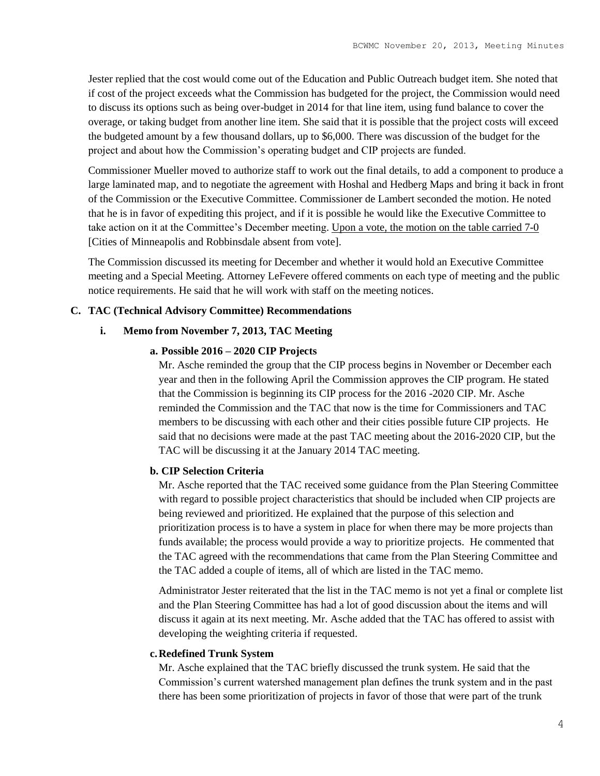Jester replied that the cost would come out of the Education and Public Outreach budget item. She noted that if cost of the project exceeds what the Commission has budgeted for the project, the Commission would need to discuss its options such as being over-budget in 2014 for that line item, using fund balance to cover the overage, or taking budget from another line item. She said that it is possible that the project costs will exceed the budgeted amount by a few thousand dollars, up to \$6,000. There was discussion of the budget for the project and about how the Commission's operating budget and CIP projects are funded.

Commissioner Mueller moved to authorize staff to work out the final details, to add a component to produce a large laminated map, and to negotiate the agreement with Hoshal and Hedberg Maps and bring it back in front of the Commission or the Executive Committee. Commissioner de Lambert seconded the motion. He noted that he is in favor of expediting this project, and if it is possible he would like the Executive Committee to take action on it at the Committee's December meeting. Upon a vote, the motion on the table carried 7-0 [Cities of Minneapolis and Robbinsdale absent from vote].

The Commission discussed its meeting for December and whether it would hold an Executive Committee meeting and a Special Meeting. Attorney LeFevere offered comments on each type of meeting and the public notice requirements. He said that he will work with staff on the meeting notices.

#### **C. TAC (Technical Advisory Committee) Recommendations**

#### **i. Memo from November 7, 2013, TAC Meeting**

#### **a. Possible 2016 – 2020 CIP Projects**

Mr. Asche reminded the group that the CIP process begins in November or December each year and then in the following April the Commission approves the CIP program. He stated that the Commission is beginning its CIP process for the 2016 -2020 CIP. Mr. Asche reminded the Commission and the TAC that now is the time for Commissioners and TAC members to be discussing with each other and their cities possible future CIP projects. He said that no decisions were made at the past TAC meeting about the 2016-2020 CIP, but the TAC will be discussing it at the January 2014 TAC meeting.

#### **b. CIP Selection Criteria**

Mr. Asche reported that the TAC received some guidance from the Plan Steering Committee with regard to possible project characteristics that should be included when CIP projects are being reviewed and prioritized. He explained that the purpose of this selection and prioritization process is to have a system in place for when there may be more projects than funds available; the process would provide a way to prioritize projects. He commented that the TAC agreed with the recommendations that came from the Plan Steering Committee and the TAC added a couple of items, all of which are listed in the TAC memo.

Administrator Jester reiterated that the list in the TAC memo is not yet a final or complete list and the Plan Steering Committee has had a lot of good discussion about the items and will discuss it again at its next meeting. Mr. Asche added that the TAC has offered to assist with developing the weighting criteria if requested.

#### **c.Redefined Trunk System**

Mr. Asche explained that the TAC briefly discussed the trunk system. He said that the Commission's current watershed management plan defines the trunk system and in the past there has been some prioritization of projects in favor of those that were part of the trunk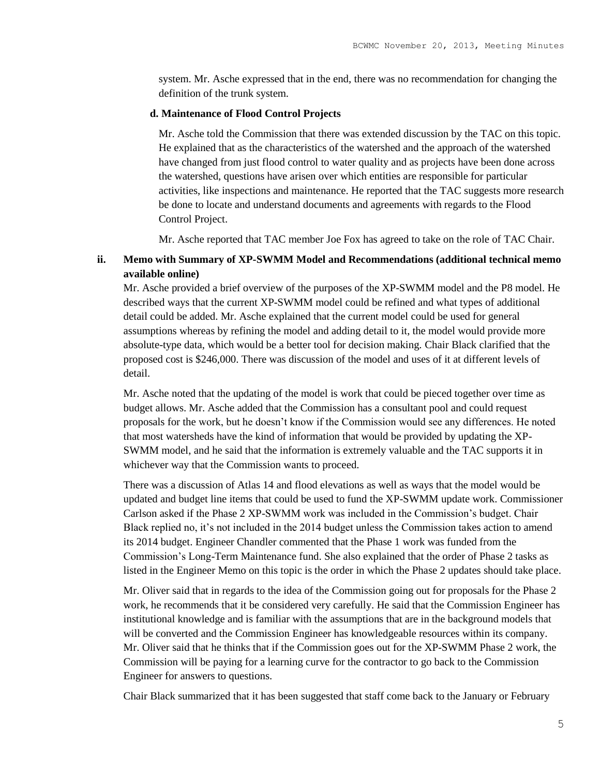system. Mr. Asche expressed that in the end, there was no recommendation for changing the definition of the trunk system.

#### **d. Maintenance of Flood Control Projects**

Mr. Asche told the Commission that there was extended discussion by the TAC on this topic. He explained that as the characteristics of the watershed and the approach of the watershed have changed from just flood control to water quality and as projects have been done across the watershed, questions have arisen over which entities are responsible for particular activities, like inspections and maintenance. He reported that the TAC suggests more research be done to locate and understand documents and agreements with regards to the Flood Control Project.

Mr. Asche reported that TAC member Joe Fox has agreed to take on the role of TAC Chair.

# **ii. Memo with Summary of XP-SWMM Model and Recommendations (additional technical memo available online)**

Mr. Asche provided a brief overview of the purposes of the XP-SWMM model and the P8 model. He described ways that the current XP-SWMM model could be refined and what types of additional detail could be added. Mr. Asche explained that the current model could be used for general assumptions whereas by refining the model and adding detail to it, the model would provide more absolute-type data, which would be a better tool for decision making. Chair Black clarified that the proposed cost is \$246,000. There was discussion of the model and uses of it at different levels of detail.

Mr. Asche noted that the updating of the model is work that could be pieced together over time as budget allows. Mr. Asche added that the Commission has a consultant pool and could request proposals for the work, but he doesn't know if the Commission would see any differences. He noted that most watersheds have the kind of information that would be provided by updating the XP-SWMM model, and he said that the information is extremely valuable and the TAC supports it in whichever way that the Commission wants to proceed.

There was a discussion of Atlas 14 and flood elevations as well as ways that the model would be updated and budget line items that could be used to fund the XP-SWMM update work. Commissioner Carlson asked if the Phase 2 XP-SWMM work was included in the Commission's budget. Chair Black replied no, it's not included in the 2014 budget unless the Commission takes action to amend its 2014 budget. Engineer Chandler commented that the Phase 1 work was funded from the Commission's Long-Term Maintenance fund. She also explained that the order of Phase 2 tasks as listed in the Engineer Memo on this topic is the order in which the Phase 2 updates should take place.

Mr. Oliver said that in regards to the idea of the Commission going out for proposals for the Phase 2 work, he recommends that it be considered very carefully. He said that the Commission Engineer has institutional knowledge and is familiar with the assumptions that are in the background models that will be converted and the Commission Engineer has knowledgeable resources within its company. Mr. Oliver said that he thinks that if the Commission goes out for the XP-SWMM Phase 2 work, the Commission will be paying for a learning curve for the contractor to go back to the Commission Engineer for answers to questions.

Chair Black summarized that it has been suggested that staff come back to the January or February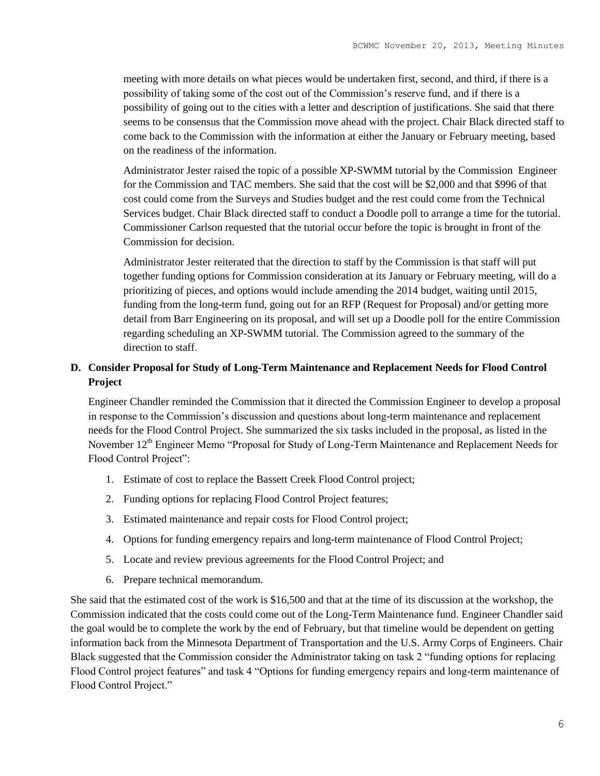meeting with more details on what pieces would be undertaken first, second, and third, if there is a possibility of taking some of the cost out of the Commission's reserve fund, and if there is a possibility of going out to the cities with a letter and description of justifications. She said that there seems to be consensus that the Commission move ahead with the project. Chair Black directed staff to come back to the Commission with the information at either the January or February meeting, based on the readiness of the information.

Administrator Jester raised the topic of a possible XP-SWMM tutorial by the Commission Engineer for the Commission and TAC members. She said that the cost will be \$2,000 and that \$996 of that cost could come from the Surveys and Studies budget and the rest could come from the Technical Services budget. Chair Black directed staff to conduct a Doodle poll to arrange a time for the tutorial. Commissioner Carlson requested that the tutorial occur before the topic is brought in front of the Commission for decision.

Administrator Jester reiterated that the direction to staff by the Commission is that staff will put together funding options for Commission consideration at its January or February meeting, will do a prioritizing of pieces, and options would include amending the 2014 budget, waiting until 2015, funding from the long-term fund, going out for an RFP (Request for Proposal) and/or getting more detail from Barr Engineering on its proposal, and will set up a Doodle poll for the entire Commission regarding scheduling an XP-SWMM tutorial. The Commission agreed to the summary of the direction to staff.

# **D. Consider Proposal for Study of Long-Term Maintenance and Replacement Needs for Flood Control Project**

Engineer Chandler reminded the Commission that it directed the Commission Engineer to develop a proposal in response to the Commission's discussion and questions about long-term maintenance and replacement needs for the Flood Control Project. She summarized the six tasks included in the proposal, as listed in the November 12<sup>th</sup> Engineer Memo "Proposal for Study of Long-Term Maintenance and Replacement Needs for Flood Control Project":

- 1. Estimate of cost to replace the Bassett Creek Flood Control project;
- 2. Funding options for replacing Flood Control Project features;
- 3. Estimated maintenance and repair costs for Flood Control project;
- 4. Options for funding emergency repairs and long-term maintenance of Flood Control Project;
- 5. Locate and review previous agreements for the Flood Control Project; and
- 6. Prepare technical memorandum.

She said that the estimated cost of the work is \$16,500 and that at the time of its discussion at the workshop, the Commission indicated that the costs could come out of the Long-Term Maintenance fund. Engineer Chandler said the goal would be to complete the work by the end of February, but that timeline would be dependent on getting information back from the Minnesota Department of Transportation and the U.S. Army Corps of Engineers. Chair Black suggested that the Commission consider the Administrator taking on task 2 "funding options for replacing Flood Control project features" and task 4 "Options for funding emergency repairs and long-term maintenance of Flood Control Project."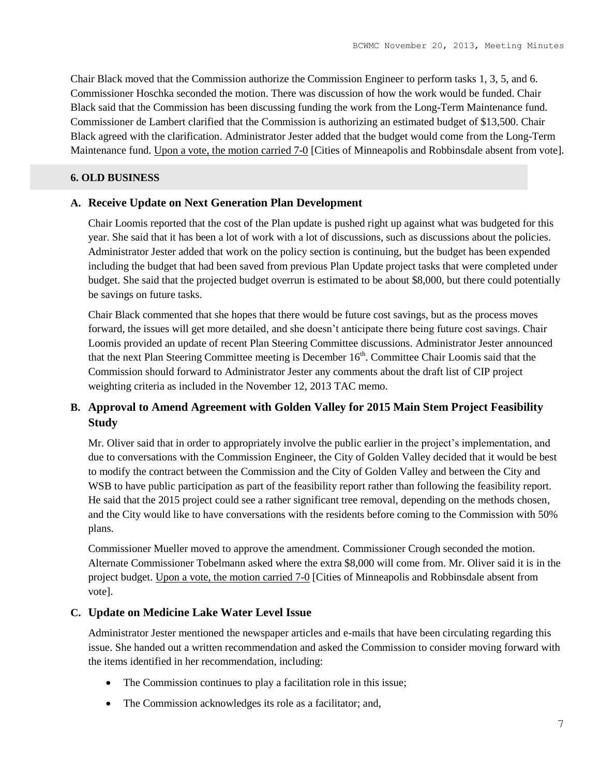Chair Black moved that the Commission authorize the Commission Engineer to perform tasks 1, 3, 5, and 6. Commissioner Hoschka seconded the motion. There was discussion of how the work would be funded. Chair Black said that the Commission has been discussing funding the work from the Long-Term Maintenance fund. Commissioner de Lambert clarified that the Commission is authorizing an estimated budget of \$13,500. Chair Black agreed with the clarification. Administrator Jester added that the budget would come from the Long-Term Maintenance fund. Upon a vote, the motion carried 7-0 [Cities of Minneapolis and Robbinsdale absent from vote].

# **6. OLD BUSINESS**

# **A. Receive Update on Next Generation Plan Development**

Chair Loomis reported that the cost of the Plan update is pushed right up against what was budgeted for this year. She said that it has been a lot of work with a lot of discussions, such as discussions about the policies. Administrator Jester added that work on the policy section is continuing, but the budget has been expended including the budget that had been saved from previous Plan Update project tasks that were completed under budget. She said that the projected budget overrun is estimated to be about \$8,000, but there could potentially be savings on future tasks.

Chair Black commented that she hopes that there would be future cost savings, but as the process moves forward, the issues will get more detailed, and she doesn't anticipate there being future cost savings. Chair Loomis provided an update of recent Plan Steering Committee discussions. Administrator Jester announced that the next Plan Steering Committee meeting is December  $16<sup>th</sup>$ . Committee Chair Loomis said that the Commission should forward to Administrator Jester any comments about the draft list of CIP project weighting criteria as included in the November 12, 2013 TAC memo.

# **B. Approval to Amend Agreement with Golden Valley for 2015 Main Stem Project Feasibility Study**

Mr. Oliver said that in order to appropriately involve the public earlier in the project's implementation, and due to conversations with the Commission Engineer, the City of Golden Valley decided that it would be best to modify the contract between the Commission and the City of Golden Valley and between the City and WSB to have public participation as part of the feasibility report rather than following the feasibility report. He said that the 2015 project could see a rather significant tree removal, depending on the methods chosen, and the City would like to have conversations with the residents before coming to the Commission with 50% plans.

Commissioner Mueller moved to approve the amendment. Commissioner Crough seconded the motion. Alternate Commissioner Tobelmann asked where the extra \$8,000 will come from. Mr. Oliver said it is in the project budget. Upon a vote, the motion carried 7-0 [Cities of Minneapolis and Robbinsdale absent from vote].

# **C. Update on Medicine Lake Water Level Issue**

Administrator Jester mentioned the newspaper articles and e-mails that have been circulating regarding this issue. She handed out a written recommendation and asked the Commission to consider moving forward with the items identified in her recommendation, including:

- The Commission continues to play a facilitation role in this issue;
- The Commission acknowledges its role as a facilitator; and,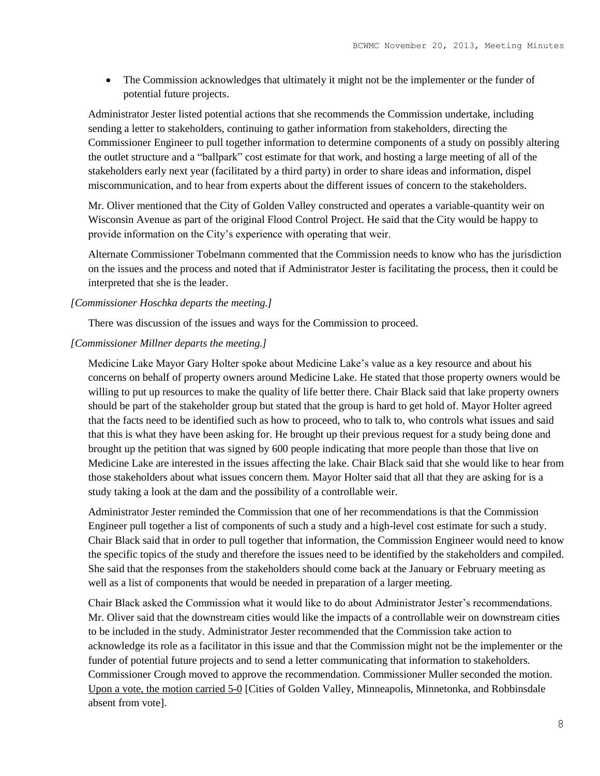• The Commission acknowledges that ultimately it might not be the implementer or the funder of potential future projects.

Administrator Jester listed potential actions that she recommends the Commission undertake, including sending a letter to stakeholders, continuing to gather information from stakeholders, directing the Commissioner Engineer to pull together information to determine components of a study on possibly altering the outlet structure and a "ballpark" cost estimate for that work, and hosting a large meeting of all of the stakeholders early next year (facilitated by a third party) in order to share ideas and information, dispel miscommunication, and to hear from experts about the different issues of concern to the stakeholders.

Mr. Oliver mentioned that the City of Golden Valley constructed and operates a variable-quantity weir on Wisconsin Avenue as part of the original Flood Control Project. He said that the City would be happy to provide information on the City's experience with operating that weir.

Alternate Commissioner Tobelmann commented that the Commission needs to know who has the jurisdiction on the issues and the process and noted that if Administrator Jester is facilitating the process, then it could be interpreted that she is the leader.

### *[Commissioner Hoschka departs the meeting.]*

There was discussion of the issues and ways for the Commission to proceed.

# *[Commissioner Millner departs the meeting.]*

Medicine Lake Mayor Gary Holter spoke about Medicine Lake's value as a key resource and about his concerns on behalf of property owners around Medicine Lake. He stated that those property owners would be willing to put up resources to make the quality of life better there. Chair Black said that lake property owners should be part of the stakeholder group but stated that the group is hard to get hold of. Mayor Holter agreed that the facts need to be identified such as how to proceed, who to talk to, who controls what issues and said that this is what they have been asking for. He brought up their previous request for a study being done and brought up the petition that was signed by 600 people indicating that more people than those that live on Medicine Lake are interested in the issues affecting the lake. Chair Black said that she would like to hear from those stakeholders about what issues concern them. Mayor Holter said that all that they are asking for is a study taking a look at the dam and the possibility of a controllable weir.

Administrator Jester reminded the Commission that one of her recommendations is that the Commission Engineer pull together a list of components of such a study and a high-level cost estimate for such a study. Chair Black said that in order to pull together that information, the Commission Engineer would need to know the specific topics of the study and therefore the issues need to be identified by the stakeholders and compiled. She said that the responses from the stakeholders should come back at the January or February meeting as well as a list of components that would be needed in preparation of a larger meeting.

Chair Black asked the Commission what it would like to do about Administrator Jester's recommendations. Mr. Oliver said that the downstream cities would like the impacts of a controllable weir on downstream cities to be included in the study. Administrator Jester recommended that the Commission take action to acknowledge its role as a facilitator in this issue and that the Commission might not be the implementer or the funder of potential future projects and to send a letter communicating that information to stakeholders. Commissioner Crough moved to approve the recommendation. Commissioner Muller seconded the motion. Upon a vote, the motion carried 5-0 [Cities of Golden Valley, Minneapolis, Minnetonka, and Robbinsdale absent from vote].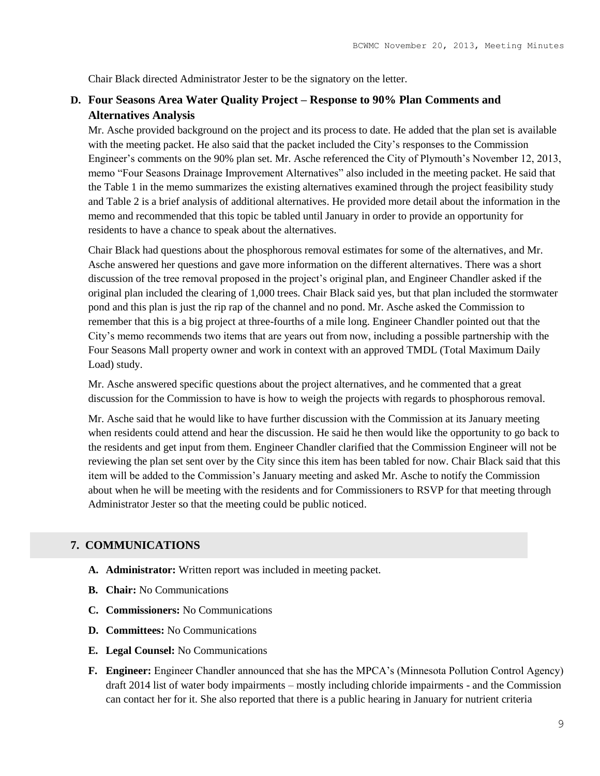Chair Black directed Administrator Jester to be the signatory on the letter.

# **D. Four Seasons Area Water Quality Project – Response to 90% Plan Comments and Alternatives Analysis**

Mr. Asche provided background on the project and its process to date. He added that the plan set is available with the meeting packet. He also said that the packet included the City's responses to the Commission Engineer's comments on the 90% plan set. Mr. Asche referenced the City of Plymouth's November 12, 2013, memo "Four Seasons Drainage Improvement Alternatives" also included in the meeting packet. He said that the Table 1 in the memo summarizes the existing alternatives examined through the project feasibility study and Table 2 is a brief analysis of additional alternatives. He provided more detail about the information in the memo and recommended that this topic be tabled until January in order to provide an opportunity for residents to have a chance to speak about the alternatives.

Chair Black had questions about the phosphorous removal estimates for some of the alternatives, and Mr. Asche answered her questions and gave more information on the different alternatives. There was a short discussion of the tree removal proposed in the project's original plan, and Engineer Chandler asked if the original plan included the clearing of 1,000 trees. Chair Black said yes, but that plan included the stormwater pond and this plan is just the rip rap of the channel and no pond. Mr. Asche asked the Commission to remember that this is a big project at three-fourths of a mile long. Engineer Chandler pointed out that the City's memo recommends two items that are years out from now, including a possible partnership with the Four Seasons Mall property owner and work in context with an approved TMDL (Total Maximum Daily Load) study.

Mr. Asche answered specific questions about the project alternatives, and he commented that a great discussion for the Commission to have is how to weigh the projects with regards to phosphorous removal.

Mr. Asche said that he would like to have further discussion with the Commission at its January meeting when residents could attend and hear the discussion. He said he then would like the opportunity to go back to the residents and get input from them. Engineer Chandler clarified that the Commission Engineer will not be reviewing the plan set sent over by the City since this item has been tabled for now. Chair Black said that this item will be added to the Commission's January meeting and asked Mr. Asche to notify the Commission about when he will be meeting with the residents and for Commissioners to RSVP for that meeting through Administrator Jester so that the meeting could be public noticed.

### **7. COMMUNICATIONS**

- **A. Administrator:** Written report was included in meeting packet.
- **B. Chair:** No Communications
- **C. Commissioners:** No Communications
- **D. Committees:** No Communications
- **E. Legal Counsel:** No Communications
- **F. Engineer:** Engineer Chandler announced that she has the MPCA's (Minnesota Pollution Control Agency) draft 2014 list of water body impairments – mostly including chloride impairments - and the Commission can contact her for it. She also reported that there is a public hearing in January for nutrient criteria